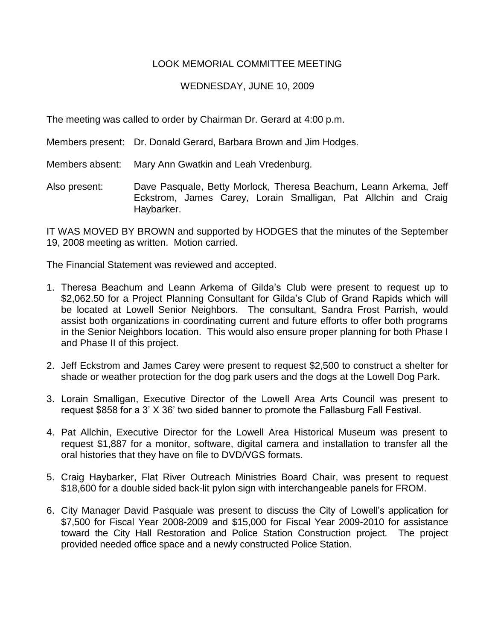## LOOK MEMORIAL COMMITTEE MEETING

## WEDNESDAY, JUNE 10, 2009

The meeting was called to order by Chairman Dr. Gerard at 4:00 p.m.

Members present: Dr. Donald Gerard, Barbara Brown and Jim Hodges.

Members absent: Mary Ann Gwatkin and Leah Vredenburg.

Also present: Dave Pasquale, Betty Morlock, Theresa Beachum, Leann Arkema, Jeff Eckstrom, James Carey, Lorain Smalligan, Pat Allchin and Craig Haybarker.

IT WAS MOVED BY BROWN and supported by HODGES that the minutes of the September 19, 2008 meeting as written. Motion carried.

The Financial Statement was reviewed and accepted.

- 1. Theresa Beachum and Leann Arkema of Gilda's Club were present to request up to \$2,062.50 for a Project Planning Consultant for Gilda's Club of Grand Rapids which will be located at Lowell Senior Neighbors. The consultant, Sandra Frost Parrish, would assist both organizations in coordinating current and future efforts to offer both programs in the Senior Neighbors location. This would also ensure proper planning for both Phase I and Phase II of this project.
- 2. Jeff Eckstrom and James Carey were present to request \$2,500 to construct a shelter for shade or weather protection for the dog park users and the dogs at the Lowell Dog Park.
- 3. Lorain Smalligan, Executive Director of the Lowell Area Arts Council was present to request \$858 for a 3' X 36' two sided banner to promote the Fallasburg Fall Festival.
- 4. Pat Allchin, Executive Director for the Lowell Area Historical Museum was present to request \$1,887 for a monitor, software, digital camera and installation to transfer all the oral histories that they have on file to DVD/VGS formats.
- 5. Craig Haybarker, Flat River Outreach Ministries Board Chair, was present to request \$18,600 for a double sided back-lit pylon sign with interchangeable panels for FROM.
- 6. City Manager David Pasquale was present to discuss the City of Lowell's application for \$7,500 for Fiscal Year 2008-2009 and \$15,000 for Fiscal Year 2009-2010 for assistance toward the City Hall Restoration and Police Station Construction project. The project provided needed office space and a newly constructed Police Station.